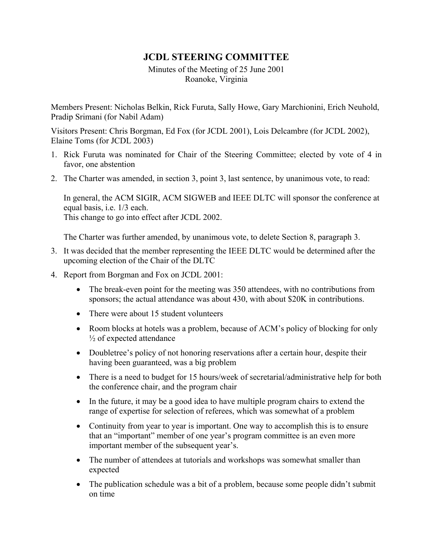## **JCDL STEERING COMMITTEE**

Minutes of the Meeting of 25 June 2001 Roanoke, Virginia

Members Present: Nicholas Belkin, Rick Furuta, Sally Howe, Gary Marchionini, Erich Neuhold, Pradip Srimani (for Nabil Adam)

Visitors Present: Chris Borgman, Ed Fox (for JCDL 2001), Lois Delcambre (for JCDL 2002), Elaine Toms (for JCDL 2003)

- 1. Rick Furuta was nominated for Chair of the Steering Committee; elected by vote of 4 in favor, one abstention
- 2. The Charter was amended, in section 3, point 3, last sentence, by unanimous vote, to read:

In general, the ACM SIGIR, ACM SIGWEB and IEEE DLTC will sponsor the conference at equal basis, i.e. 1/3 each. This change to go into effect after JCDL 2002.

The Charter was further amended, by unanimous vote, to delete Section 8, paragraph 3.

- 3. It was decided that the member representing the IEEE DLTC would be determined after the upcoming election of the Chair of the DLTC
- 4. Report from Borgman and Fox on JCDL 2001:
	- The break-even point for the meeting was 350 attendees, with no contributions from sponsors; the actual attendance was about 430, with about \$20K in contributions.
	- There were about 15 student volunteers
	- Room blocks at hotels was a problem, because of ACM's policy of blocking for only  $\frac{1}{2}$  of expected attendance
	- Doubletree's policy of not honoring reservations after a certain hour, despite their having been guaranteed, was a big problem
	- There is a need to budget for 15 hours/week of secretarial/administrative help for both the conference chair, and the program chair
	- In the future, it may be a good idea to have multiple program chairs to extend the range of expertise for selection of referees, which was somewhat of a problem
	- Continuity from year to year is important. One way to accomplish this is to ensure that an "important" member of one year's program committee is an even more important member of the subsequent year's.
	- The number of attendees at tutorials and workshops was somewhat smaller than expected
	- The publication schedule was a bit of a problem, because some people didn't submit on time